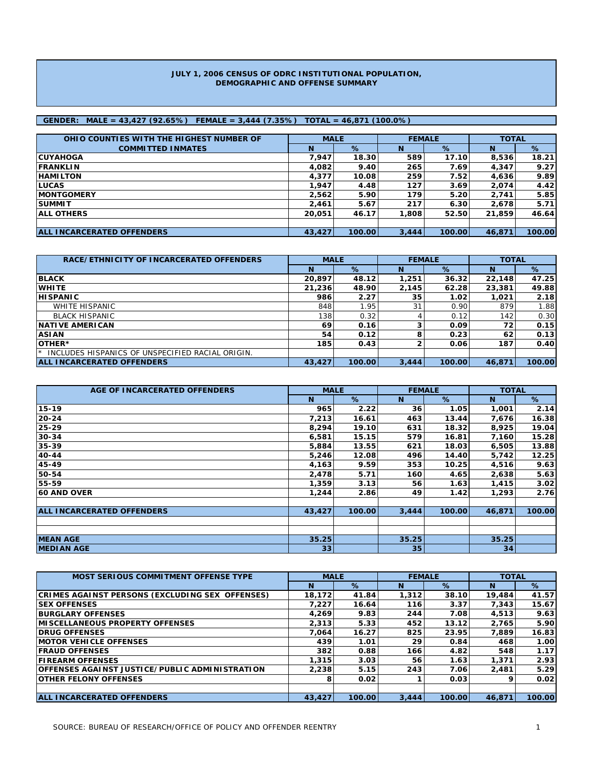#### **JULY 1, 2006 CENSUS OF ODRC INSTITUTIONAL POPULATION, DEMOGRAPHIC AND OFFENSE SUMMARY**

### **GENDER: MALE = 43,427 (92.65%) FEMALE = 3,444 (7.35%) TOTAL = 46,871 (100.0%)**

| OHIO COUNTIES WITH THE HIGHEST NUMBER OF | <b>MALE</b> |        | <b>FEMALE</b> |        | <b>TOTAL</b> |        |
|------------------------------------------|-------------|--------|---------------|--------|--------------|--------|
| <b>COMMITTED INMATES</b>                 | N           | %      | N             | %      | N            | %      |
| <b>ICUYAHOGA</b>                         | 7.947       | 18.30  | 589           | 17.10  | 8,536        | 18.21  |
| <b>IFRANKLIN</b>                         | 4,082       | 9.40   | 265           | 7.69   | 4,347        | 9.27   |
| <b>HAMILTON</b>                          | 4,377       | 10.08  | 259           | 7.52   | 4,636        | 9.89   |
| <b>ILUCAS</b>                            | 1,947       | 4.48   | 127           | 3.69   | 2,074        | 4.42   |
| <b>IMONTGOMERY</b>                       | 2.562       | 5.90   | 179           | 5.20   | 2.741        | 5.85   |
| <b>ISUMMIT</b>                           | 2.461       | 5.67   | 217           | 6.30   | 2,678        | 5.71   |
| <b>JALL OTHERS</b>                       | 20.051      | 46.17  | 1.808         | 52.50  | 21.859       | 46.64  |
|                                          |             |        |               |        |              |        |
| <b>ALL INCARCERATED OFFENDERS</b>        | 43,427      | 100.00 | 3,444         | 100.00 | 46.871       | 100.00 |

| RACE/ETHNICITY OF INCARCERATED OFFENDERS              | <b>MALE</b> |        | <b>FEMALE</b> |        | <b>TOTAL</b> |        |  |
|-------------------------------------------------------|-------------|--------|---------------|--------|--------------|--------|--|
|                                                       | N           | %      | N             | %      | N            | %      |  |
| <b>BLACK</b>                                          | 20,897      | 48.12  | 1,251         | 36.32  | 22,148       | 47.25  |  |
| <b>WHITE</b>                                          | 21,236      | 48.90  | 2,145         | 62.28  | 23,381       | 49.88  |  |
| <b>HISPANIC</b>                                       | 986         | 2.27   | 35            | 1.02   | 1.021        | 2.18   |  |
| WHITE HISPANIC                                        | 848         | 1.95   | 31            | 0.90   | 879          | 1.88   |  |
| <b>BLACK HISPANIC</b>                                 | 138         | 0.32   |               | 0.12   | 142          | 0.30   |  |
| <b>INATIVE AMERICAN</b>                               | 69          | 0.16   |               | 0.09   | 72           | 0.15   |  |
| <b>ASIAN</b>                                          | 54          | 0.12   | 8             | 0.23   | 62           | 0.13   |  |
| <b>OTHER*</b>                                         | 185         | 0.43   |               | 0.06   | 187          | 0.40   |  |
| INCLUDES HISPANICS OF UNSPECIFIED RACIAL ORIGIN.<br>★ |             |        |               |        |              |        |  |
| <b>ALL INCARCERATED OFFENDERS</b>                     | 43,427      | 100.00 | 3,444         | 100.00 | 46.871       | 100.00 |  |

| AGE OF INCARCERATED OFFENDERS     | <b>MALE</b> |        | <b>FEMALE</b>   |        | <b>TOTAL</b> |        |
|-----------------------------------|-------------|--------|-----------------|--------|--------------|--------|
|                                   | N           | $\%$   | <b>N</b>        | $\%$   | N            | %      |
| 15-19                             | 965         | 2.22   | 36              | 1.05   | 1,001        | 2.14   |
| 20-24                             | 7,213       | 16.61  | 463             | 13.44  | 7,676        | 16.38  |
| 25-29                             | 8,294       | 19.10  | 631             | 18.32  | 8,925        | 19.04  |
| 30-34                             | 6,581       | 15.15  | 579             | 16.81  | 7,160        | 15.28  |
| 35-39                             | 5,884       | 13.55  | 621             | 18.03  | 6,505        | 13.88  |
| 40-44                             | 5,246       | 12.08  | 496             | 14.40  | 5,742        | 12.25  |
| 45-49                             | 4,163       | 9.59   | 353             | 10.25  | 4,516        | 9.63   |
| 50-54                             | 2,478       | 5.71   | 160             | 4.65   | 2,638        | 5.63   |
| 55-59                             | 1,359       | 3.13   | 56              | 1.63   | 1,415        | 3.02   |
| <b>60 AND OVER</b>                | 1,244       | 2.86   | 49              | 1.42   | 1,293        | 2.76   |
|                                   |             |        |                 |        |              |        |
| <b>ALL INCARCERATED OFFENDERS</b> | 43,427      | 100.00 | 3,444           | 100.00 | 46,871       | 100.00 |
|                                   |             |        |                 |        |              |        |
|                                   |             |        |                 |        |              |        |
| <b>MEAN AGE</b>                   | 35.25       |        | 35.25           |        | 35.25        |        |
| <b>IMEDIAN AGE</b>                | 33          |        | 35 <sub>1</sub> |        | 34           |        |

| <b>MOST SERIOUS COMMITMENT OFFENSE TYPE</b>            | <b>MALE</b> |        | <b>FEMALE</b> |        | <b>TOTAL</b> |                   |
|--------------------------------------------------------|-------------|--------|---------------|--------|--------------|-------------------|
|                                                        | N           | $\%$   | N             | %      | N            | %                 |
| <b>CRIMES AGAINST PERSONS (EXCLUDING SEX OFFENSES)</b> | 18.172      | 41.84  | 1.312         | 38.10  | 19.484       | 41.57             |
| <b>ISEX OFFENSES</b>                                   | 7.227       | 16.64  | 116           | 3.37   | 7.343        | 15.67             |
| <b>BURGLARY OFFENSES</b>                               | 4,269       | 9.83   | 244           | 7.08   | 4,513        | 9.63              |
| <b>IMISCELLANEOUS PROPERTY OFFENSES</b>                | 2,313       | 5.33   | 452           | 13.12  | 2.765        | 5.90              |
| <b>IDRUG OFFENSES</b>                                  | 7.064       | 16.27  | 825           | 23.95  | 7.889        | 16.83             |
| <b>IMOTOR VEHICLE OFFENSES</b>                         | 439         | 1.01   | 29            | 0.84   | 468          | 1.00 <sub>l</sub> |
| <b>IFRAUD OFFENSES</b>                                 | 382         | 0.88   | 166           | 4.82   | 548          | 1.17              |
| <b>IFIREARM OFFENSES</b>                               | 1,315       | 3.03   | 56            | 1.63   | 1,371        | 2.93              |
| <b>IOFFENSES AGAINST JUSTICE/PUBLIC ADMINISTRATION</b> | 2,238       | 5.15   | 243           | 7.06   | 2,481        | 5.29              |
| <b>IOTHER FELONY OFFENSES</b>                          | 8           | 0.02   |               | 0.03   | q            | 0.02              |
|                                                        |             |        |               |        |              |                   |
| <b>ALL INCARCERATED OFFENDERS</b>                      | 43,427      | 100.00 | 3.444         | 100.00 | 46.871       | 100.00            |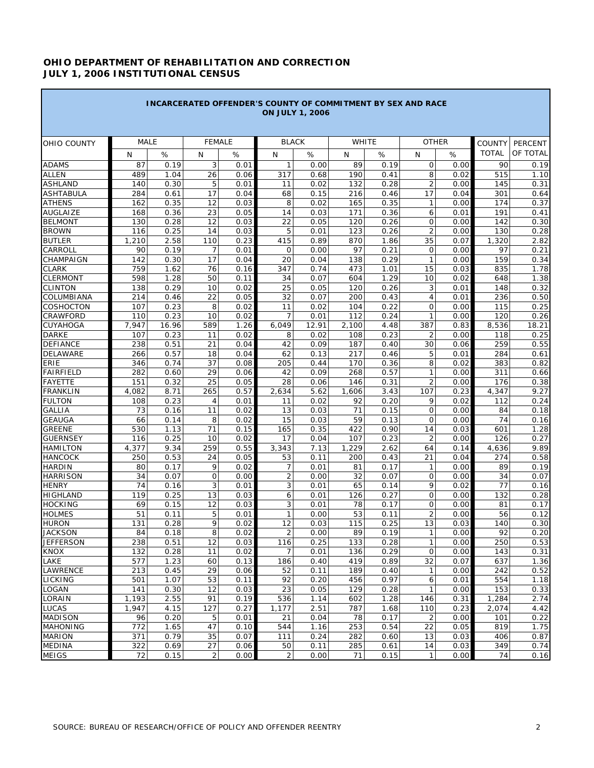## **OHIO DEPARTMENT OF REHABILITATION AND CORRECTION JULY 1, 2006 INSTITUTIONAL CENSUS**

a sa kacamatan ing Kabupatèn Kabupatèn Kabupatèn Kabupatèn Kabupatèn Kabupatèn Kabupatèn Kabupatèn Kabupatèn K

**Contract Contract Contract** 

|                                 |             |              | <b>INCARCERATED OFFENDER'S COUNTY OF COMMITMENT BY SEX AND RACE</b> |              |                      | <b>ON JULY 1, 2006</b> |            |              |                              |              |                               |                     |
|---------------------------------|-------------|--------------|---------------------------------------------------------------------|--------------|----------------------|------------------------|------------|--------------|------------------------------|--------------|-------------------------------|---------------------|
|                                 | <b>MALE</b> |              | <b>FEMALE</b>                                                       |              |                      | <b>BLACK</b>           |            | WHITE        | <b>OTHER</b>                 |              |                               |                     |
| OHIO COUNTY                     | N           | $\%$         | N                                                                   | %            | N                    | $\%$                   | N          | $\%$         | N                            | %            | <b>COUNTY</b><br><b>TOTAL</b> | PERCENT<br>OF TOTAL |
| <b>ADAMS</b>                    | 87          | 0.19         | 3                                                                   | 0.01         | $\mathbf{1}$         | 0.00                   | 89         | 0.19         | $\mathsf{O}$                 | 0.00         | 90                            | 0.19                |
| <b>ALLEN</b>                    | 489         | 1.04         | 26                                                                  | 0.06         | 317                  | 0.68                   | 190        | 0.41         | 8                            | 0.02         | 515                           | 1.10                |
| <b>ASHLAND</b>                  | 140         | 0.30         | 5                                                                   | 0.01         | 11                   | 0.02                   | 132        | 0.28         | $\overline{2}$               | 0.00         | 145                           | 0.31                |
| <b>ASHTABULA</b>                | 284         | 0.61         | 17                                                                  | 0.04         | 68                   | 0.15                   | 216        | 0.46         | 17                           | 0.04         | 301                           | 0.64                |
| <b>ATHENS</b>                   | 162         | 0.35         | 12                                                                  | 0.03         | 8                    | 0.02                   | 165        | 0.35         | $\mathbf{1}$                 | 0.00         | 174                           | 0.37                |
| <b>AUGLAIZE</b>                 | 168         | 0.36         | 23                                                                  | 0.05         | 14                   | 0.03                   | 171        | 0.36         | 6                            | 0.01         | 191                           | 0.41                |
| <b>BELMONT</b>                  | 130         | 0.28         | 12                                                                  | 0.03         | 22                   | 0.05                   | 120        | 0.26         | $\overline{O}$               | 0.00         | 142                           | 0.30                |
| <b>BROWN</b>                    | 116         | 0.25         | 14                                                                  | 0.03         | 5                    | 0.01                   | 123        | 0.26         | $\overline{2}$               | 0.00         | 130                           | 0.28                |
| <b>BUTLER</b>                   | 1,210       | 2.58         | 110                                                                 | 0.23         | 415                  | 0.89                   | 870        | 1.86         | 35                           | 0.07         | 1,320                         | 2.82                |
| CARROLL                         | 90          | 0.19         | 7                                                                   | 0.01         | $\mathbf 0$          | 0.00                   | 97         | 0.21         | $\mathsf{O}$                 | 0.00         | 97                            | 0.21                |
| CHAMPAIGN                       | 142         | 0.30         | 17                                                                  | 0.04         | 20                   | 0.04                   | 138        | 0.29         | $\mathbf{1}$                 | 0.00         | 159                           | 0.34                |
| <b>CLARK</b>                    | 759         | 1.62         | 76                                                                  | 0.16         | 347                  | 0.74                   | 473        | 1.01         | 15                           | 0.03         | 835                           | 1.78                |
| <b>CLERMONT</b>                 | 598         | 1.28         | 50                                                                  | 0.11         | 34                   | 0.07                   | 604        | 1.29         | 10                           | 0.02         | 648                           | 1.38                |
| <b>CLINTON</b>                  | 138         | 0.29         | 10                                                                  | 0.02         | 25                   | 0.05                   | 120        | 0.26         | 3                            | 0.01         | 148                           | 0.32                |
| COLUMBIANA                      | 214         | 0.46         | 22                                                                  | 0.05         | 32                   | 0.07                   | 200        | 0.43         | $\overline{4}$               | 0.01         | 236                           | 0.50                |
| COSHOCTON<br>CRAWFORD           | 107<br>110  | 0.23<br>0.23 | 8<br>10                                                             | 0.02<br>0.02 | 11<br>$\overline{7}$ | 0.02                   | 104<br>112 | 0.22<br>0.24 | $\mathbf{O}$<br>$\mathbf{1}$ | 0.00<br>0.00 | 115<br>120                    | 0.25<br>0.26        |
| CUYAHOGA                        | 7,947       | 16.96        | 589                                                                 | 1.26         | 6,049                | 0.01<br>12.91          | 2,100      | 4.48         | 387                          | 0.83         | 8,536                         | 18.21               |
| <b>DARKE</b>                    | 107         | 0.23         | 11                                                                  | 0.02         | 8                    | 0.02                   | 108        | 0.23         | $\overline{2}$               | 0.00         | 118                           | 0.25                |
| <b>DEFIANCE</b>                 | 238         | 0.51         | 21                                                                  | 0.04         | 42                   | 0.09                   | 187        | 0.40         | 30                           | 0.06         | 259                           | 0.55                |
| DELAWARE                        | 266         | 0.57         | 18                                                                  | 0.04         | 62                   | 0.13                   | 217        | 0.46         | 5                            | 0.01         | 284                           | 0.61                |
| ERIE                            | 346         | 0.74         | 37                                                                  | 0.08         | 205                  | 0.44                   | 170        | 0.36         | 8                            | 0.02         | 383                           | 0.82                |
| <b>FAIRFIELD</b>                | 282         | 0.60         | 29                                                                  | 0.06         | 42                   | 0.09                   | 268        | 0.57         | $\mathbf{1}$                 | 0.00         | 311                           | 0.66                |
| <b>FAYETTE</b>                  | 151         | 0.32         | 25                                                                  | 0.05         | 28                   | 0.06                   | 146        | 0.31         | $\overline{2}$               | 0.00         | 176                           | 0.38                |
| <b>FRANKLIN</b>                 | 4,082       | 8.71         | 265                                                                 | 0.57         | 2,634                | 5.62                   | 1,606      | 3.43         | 107                          | 0.23         | 4,347                         | 9.27                |
| <b>FULTON</b>                   | 108         | 0.23         | 4                                                                   | 0.01         | 11                   | 0.02                   | 92         | 0.20         | 9                            | 0.02         | 112                           | 0.24                |
| <b>GALLIA</b>                   | 73          | 0.16         | 11                                                                  | 0.02         | 13                   | 0.03                   | 71         | 0.15         | 0                            | 0.00         | 84                            | 0.18                |
| <b>GEAUGA</b>                   | 66          | 0.14         | 8                                                                   | 0.02         | 15                   | 0.03                   | 59         | 0.13         | $\mathbf 0$                  | 0.00         | 74                            | 0.16                |
| <b>GREENE</b>                   | 530         | 1.13         | 71                                                                  | 0.15         | 165                  | 0.35                   | 422        | 0.90         | 14                           | 0.03         | 601                           | 1.28                |
| <b>GUERNSEY</b>                 | 116         | 0.25         | 10                                                                  | 0.02         | 17                   | 0.04                   | 107        | 0.23         | 2                            | 0.00         | 126                           | 0.27                |
| <b>HAMILTON</b>                 | 4,377       | 9.34         | 259                                                                 | 0.55         | 3,343                | 7.13                   | 1,229      | 2.62         | 64                           | 0.14         | 4,636                         | 9.89                |
| <b>HANCOCK</b>                  | 250         | 0.53         | 24                                                                  | 0.05         | 53                   | 0.11                   | 200        | 0.43         | 21                           | 0.04         | 274                           | 0.58                |
| <b>HARDIN</b>                   | 80          | 0.17         | 9                                                                   | 0.02         | $\overline{7}$       | 0.01                   | 81         | 0.17         | $\mathbf{1}$                 | 0.00         | 89                            | 0.19                |
| <b>HARRISON</b>                 | 34          | 0.07         | 0                                                                   | 0.00         | $\overline{2}$       | 0.00                   | 32         | 0.07         | $\mathbf 0$<br>9             | 0.00         | 34                            | 0.07                |
| <b>HENRY</b><br><b>HIGHLAND</b> | 74<br>119   | 0.16<br>0.25 | 3<br>13                                                             | 0.01<br>0.03 | 3<br>6               | 0.01<br>0.01           | 65<br>126  | 0.14<br>0.27 | $\overline{O}$               | 0.02<br>0.00 | 77<br>132                     | 0.16<br>0.28        |
| <b>HOCKING</b>                  | 69          | 0.15         | 12                                                                  | 0.03         | 3                    | 0.01                   | 78         | 0.17         | $\mathbf{O}$                 | 0.00         | 81                            | 0.17                |
| <b>HOLMES</b>                   | 51          | 0.11         | 5                                                                   | 0.01         | 1                    | 0.00                   | 53         | 0.11         | $\overline{2}$               | 0.00         | 56                            | 0.12                |
| <b>HURON</b>                    | 131         | 0.28         | 9                                                                   | 0.02         | 12                   | 0.03                   | 115        | 0.25         | 13                           | 0.03         | 140                           | 0.30                |
| <b>JACKSON</b>                  | 84          | 0.18         | 8                                                                   | 0.02         | $\overline{2}$       | 0.00                   | 89         | 0.19         | $\mathbf{1}$                 | 0.00         | 92                            | 0.20                |
| <b>JEFFERSON</b>                | 238         | 0.51         | 12                                                                  | 0.03         | 116                  | 0.25                   | 133        | 0.28         | $\mathbf{1}$                 | 0.00         | 250                           | 0.53                |
| KNOX                            | 132         | 0.28         | 11                                                                  | 0.02         | 7                    | 0.01                   | 136        | 0.29         | $\mathsf{O}$                 | 0.00         | 143                           | 0.31                |
| LAKE                            | 577         | 1.23         | 60                                                                  | 0.13         | 186                  | 0.40                   | 419        | 0.89         | 32                           | 0.07         | 637                           | 1.36                |
| LAWRENCE                        | 213         | 0.45         | 29                                                                  | 0.06         | 52                   | 0.11                   | 189        | 0.40         | $\mathbf{1}$                 | 0.00         | 242                           | 0.52                |
| <b>LICKING</b>                  | 501         | 1.07         | 53                                                                  | 0.11         | 92                   | 0.20                   | 456        | 0.97         | 6                            | 0.01         | 554                           | 1.18                |
| LOGAN                           | 141         | 0.30         | 12                                                                  | 0.03         | 23                   | 0.05                   | 129        | 0.28         | $\mathbf{1}$                 | 0.00         | 153                           | 0.33                |
| LORAIN                          | 1,193       | 2.55         | 91                                                                  | 0.19         | 536                  | 1.14                   | 602        | 1.28         | 146                          | 0.31         | 1,284                         | 2.74                |
| LUCAS                           | 1,947       | 4.15         | 127                                                                 | 0.27         | 1,177                | 2.51                   | 787        | 1.68         | 110                          | 0.23         | 2,074                         | 4.42                |
| <b>MADISON</b>                  | 96          | 0.20         | 5                                                                   | 0.01         | 21                   | 0.04                   | 78         | 0.17         | $\overline{2}$               | 0.00         | 101                           | 0.22                |
| <b>MAHONING</b>                 | 772         | 1.65         | 47                                                                  | 0.10         | 544                  | 1.16                   | 253        | 0.54         | 22                           | 0.05         | 819                           | 1.75                |
| <b>MARION</b>                   | 371         | 0.79         | 35                                                                  | 0.07         | 111                  | 0.24                   | 282        | 0.60         | 13                           | 0.03         | 406                           | 0.87                |
| <b>MEDINA</b>                   | 322         | 0.69         | 27                                                                  | 0.06         | 50                   | 0.11                   | 285        | 0.61         | 14                           | 0.03         | 349                           | 0.74                |
| <b>MEIGS</b>                    | 72          | 0.15         | 2                                                                   | 0.00         | 2                    | 0.00                   | 71         | 0.15         | $\mathbf{1}$                 | 0.00         | 74                            | 0.16                |

п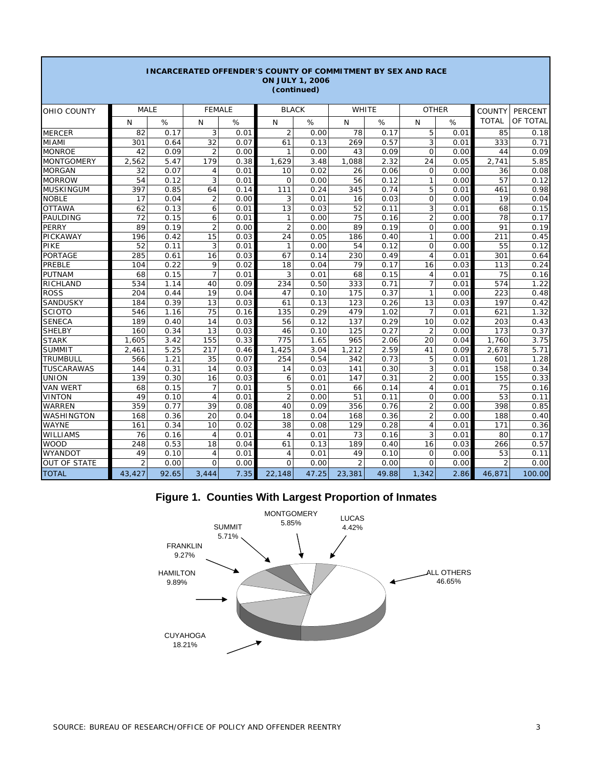| <b>INCARCERATED OFFENDER'S COUNTY OF COMMITMENT BY SEX AND RACE</b><br><b>ON JULY 1, 2006</b><br>(continued) |                |       |                |      |                |       |                |       |                |      |                |                |
|--------------------------------------------------------------------------------------------------------------|----------------|-------|----------------|------|----------------|-------|----------------|-------|----------------|------|----------------|----------------|
| OHIO COUNTY                                                                                                  | <b>MALE</b>    |       | <b>FEMALE</b>  |      | <b>BLACK</b>   |       |                | WHITE | <b>OTHER</b>   |      | <b>COUNTY</b>  | <b>PERCENT</b> |
|                                                                                                              | N              | %     | N              | %    | N              | %     | N              | %     | N              | %    | <b>TOTAL</b>   | OF TOTAL       |
| <b>MERCER</b>                                                                                                | 82             | 0.17  | 3              | 0.01 | $\overline{2}$ | 0.00  | 78             | 0.17  | 5              | 0.01 | 85             | 0.18           |
| <b>MIAMI</b>                                                                                                 | 301            | 0.64  | 32             | 0.07 | 61             | 0.13  | 269            | 0.57  | 3              | 0.01 | 333            | 0.71           |
| <b>MONROE</b>                                                                                                | 42             | 0.09  | $\overline{2}$ | 0.00 | $\mathbf{1}$   | 0.00  | 43             | 0.09  | $\mathbf 0$    | 0.00 | 44             | 0.09           |
| <b>MONTGOMERY</b>                                                                                            | 2,562          | 5.47  | 179            | 0.38 | 1,629          | 3.48  | 1,088          | 2.32  | 24             | 0.05 | 2,741          | 5.85           |
| <b>MORGAN</b>                                                                                                | 32             | 0.07  | $\overline{4}$ | 0.01 | 10             | 0.02  | 26             | 0.06  | $\Omega$       | 0.00 | 36             | 0.08           |
| <b>MORROW</b>                                                                                                | 54             | 0.12  | 3              | 0.01 | $\mathbf{O}$   | 0.00  | 56             | 0.12  | $\mathbf{1}$   | 0.00 | 57             | 0.12           |
| <b>MUSKINGUM</b>                                                                                             | 397            | 0.85  | 64             | 0.14 | 111            | 0.24  | 345            | 0.74  | 5              | 0.01 | 461            | 0.98           |
| <b>NOBLE</b>                                                                                                 | 17             | 0.04  | $\overline{2}$ | 0.00 | 3              | 0.01  | 16             | 0.03  | 0              | 0.00 | 19             | 0.04           |
| <b>OTTAWA</b>                                                                                                | 62             | 0.13  | 6              | 0.01 | 13             | 0.03  | 52             | 0.11  | 3              | 0.01 | 68             | 0.15           |
| PAULDING                                                                                                     | 72             | 0.15  | 6              | 0.01 | $\mathbf{1}$   | 0.00  | 75             | 0.16  | $\overline{2}$ | 0.00 | 78             | 0.17           |
| <b>PERRY</b>                                                                                                 | 89             | 0.19  | $\overline{2}$ | 0.00 | $\overline{2}$ | 0.00  | 89             | 0.19  | $\Omega$       | 0.00 | 91             | 0.19           |
| PICKAWAY                                                                                                     | 196            | 0.42  | 15             | 0.03 | 24             | 0.05  | 186            | 0.40  | $\mathbf{1}$   | 0.00 | 211            | 0.45           |
| PIKE                                                                                                         | 52             | 0.11  | 3              | 0.01 | $\mathbf{1}$   | 0.00  | 54             | 0.12  | $\Omega$       | 0.00 | 55             | 0.12           |
| <b>PORTAGE</b>                                                                                               | 285            | 0.61  | 16             | 0.03 | 67             | 0.14  | 230            | 0.49  | $\overline{4}$ | 0.01 | 301            | 0.64           |
| PREBLE                                                                                                       | 104            | 0.22  | 9              | 0.02 | 18             | 0.04  | 79             | 0.17  | 16             | 0.03 | 113            | 0.24           |
| <b>PUTNAM</b>                                                                                                | 68             | 0.15  | $\overline{7}$ | 0.01 | 3              | 0.01  | 68             | 0.15  | $\overline{4}$ | 0.01 | 75             | 0.16           |
| RICHLAND                                                                                                     | 534            | 1.14  | 40             | 0.09 | 234            | 0.50  | 333            | 0.71  | $\overline{7}$ | 0.01 | 574            | 1.22           |
| <b>ROSS</b>                                                                                                  | 204            | 0.44  | 19             | 0.04 | 47             | 0.10  | 175            | 0.37  | 1              | 0.00 | 223            | 0.48           |
| SANDUSKY                                                                                                     | 184            | 0.39  | 13             | 0.03 | 61             | 0.13  | 123            | 0.26  | 13             | 0.03 | 197            | 0.42           |
| <b>SCIOTO</b>                                                                                                | 546            | 1.16  | 75             | 0.16 | 135            | 0.29  | 479            | 1.02  | $\overline{7}$ | 0.01 | 621            | 1.32           |
| <b>SENECA</b>                                                                                                | 189            | 0.40  | 14             | 0.03 | 56             | 0.12  | 137            | 0.29  | 10             | 0.02 | 203            | 0.43           |
| <b>SHELBY</b>                                                                                                | 160            | 0.34  | 13             | 0.03 | 46             | 0.10  | 125            | 0.27  | $\overline{2}$ | 0.00 | 173            | 0.37           |
| <b>STARK</b>                                                                                                 | 1.605          | 3.42  | 155            | 0.33 | 775            | 1.65  | 965            | 2.06  | 20             | 0.04 | 1,760          | 3.75           |
| <b>SUMMIT</b>                                                                                                | 2,461          | 5.25  | 217            | 0.46 | 1,425          | 3.04  | 1,212          | 2.59  | 41             | 0.09 | 2,678          | 5.71           |
| <b>TRUMBULL</b>                                                                                              | 566            | 1.21  | 35             | 0.07 | 254            | 0.54  | 342            | 0.73  | 5              | 0.01 | 601            | 1.28           |
| <b>TUSCARAWAS</b>                                                                                            | 144            | 0.31  | 14             | 0.03 | 14             | 0.03  | 141            | 0.30  | 3              | 0.01 | 158            | 0.34           |
| <b>UNION</b>                                                                                                 | 139            | 0.30  | 16             | 0.03 | 6              | 0.01  | 147            | 0.31  | $\overline{2}$ | 0.00 | 155            | 0.33           |
| <b>VAN WERT</b>                                                                                              | 68             | 0.15  | 7              | 0.01 | 5              | 0.01  | 66             | 0.14  | 4              | 0.01 | 75             | 0.16           |
| <b>VINTON</b>                                                                                                | 49             | 0.10  | $\overline{4}$ | 0.01 | $\overline{2}$ | 0.00  | 51             | 0.11  | 0              | 0.00 | 53             | 0.11           |
| <b>WARREN</b>                                                                                                | 359            | 0.77  | 39             | 0.08 | 40             | 0.09  | 356            | 0.76  | $\overline{2}$ | 0.00 | 398            | 0.85           |
| WASHINGTON                                                                                                   | 168            | 0.36  | 20             | 0.04 | 18             | 0.04  | 168            | 0.36  | $\overline{2}$ | 0.00 | 188            | 0.40           |
| <b>WAYNE</b>                                                                                                 | 161            | 0.34  | 10             | 0.02 | 38             | 0.08  | 129            | 0.28  | $\overline{4}$ | 0.01 | 171            | 0.36           |
| WILLIAMS                                                                                                     | 76             | 0.16  | $\overline{4}$ | 0.01 | $\overline{4}$ | 0.01  | 73             | 0.16  | 3              | 0.01 | 80             | 0.17           |
| <b>WOOD</b>                                                                                                  | 248            | 0.53  | 18             | 0.04 | 61             | 0.13  | 189            | 0.40  | 16             | 0.03 | 266            | 0.57           |
| <b>WYANDOT</b>                                                                                               | 49             | 0.10  | $\overline{4}$ | 0.01 | $\overline{4}$ | 0.01  | 49             | 0.10  | $\mathbf 0$    | 0.00 | 53             | 0.11           |
| <b>OUT OF STATE</b>                                                                                          | $\overline{2}$ | 0.00  | $\Omega$       | 0.00 | $\Omega$       | 0.00  | $\overline{2}$ | 0.00  | $\Omega$       | 0.00 | $\overline{2}$ | 0.00           |
| <b>TOTAL</b>                                                                                                 | 43,427         | 92.65 | 3,444          | 7.35 | 22,148         | 47.25 | 23,381         | 49.88 | 1,342          | 2.86 | 46,871         | 100.00         |

# **Figure 1. Counties With Largest Proportion of Inmates**



г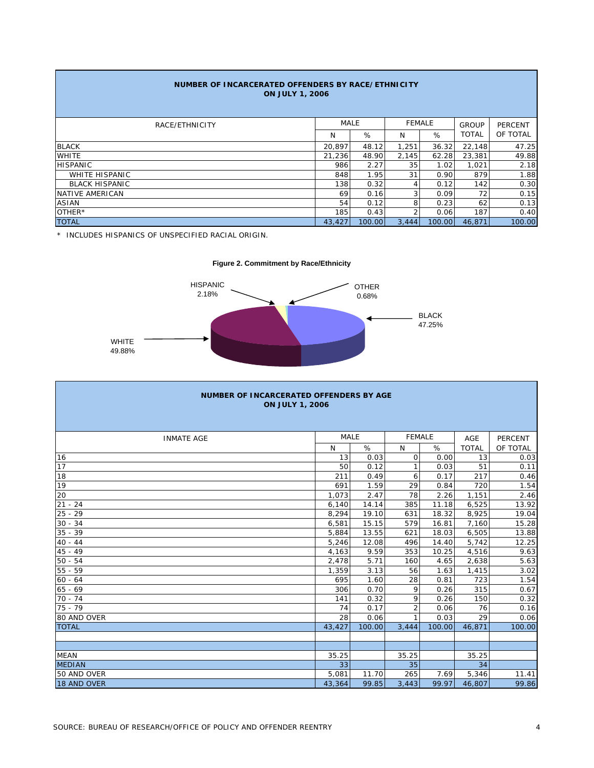| NUMBER OF INCARCERATED OFFENDERS BY RACE/ETHNICITY<br><b>ON JULY 1, 2006</b> |        |             |       |               |              |                |  |  |  |
|------------------------------------------------------------------------------|--------|-------------|-------|---------------|--------------|----------------|--|--|--|
| RACE/ETHNICITY                                                               |        | <b>MALE</b> |       | <b>FEMALE</b> | <b>GROUP</b> | <b>PERCENT</b> |  |  |  |
|                                                                              | N      | %           | N     | %             | <b>TOTAL</b> | OF TOTAL       |  |  |  |
| <b>BLACK</b>                                                                 | 20.897 | 48.12       | 1,251 | 36.32         | 22,148       | 47.25          |  |  |  |
| <b>WHITE</b>                                                                 | 21,236 | 48.90       | 2,145 | 62.28         | 23,381       | 49.88          |  |  |  |
| <b>HISPANIC</b>                                                              | 986    | 2.27        | 35    | 1.02          | 1,021        | 2.18           |  |  |  |
| <b>WHITE HISPANIC</b>                                                        | 848    | 1.95        | 31    | 0.90          | 879          | 1.88           |  |  |  |
| <b>BLACK HISPANIC</b>                                                        | 138    | 0.32        | 4     | 0.12          | 142          | 0.30           |  |  |  |
| NATIVE AMERICAN                                                              | 69     | 0.16        | 3     | 0.09          | 72           | 0.15           |  |  |  |
| <b>ASIAN</b>                                                                 | 54     | 0.12        | 8     | 0.23          | 62           | 0.13           |  |  |  |
| OTHER*                                                                       | 185    | 0.43        | 2     | 0.06          | 187          | 0.40           |  |  |  |
| <b>TOTAL</b>                                                                 | 43,427 | 100.00      | 3,444 | 100.00        | 46.871       | 100.00         |  |  |  |

\* INCLUDES HISPANICS OF UNSPECIFIED RACIAL ORIGIN.



| NUMBER OF INCARCERATED OFFENDERS BY AGE<br><b>ON JULY 1, 2006</b> |             |        |                |        |              |                |  |  |  |
|-------------------------------------------------------------------|-------------|--------|----------------|--------|--------------|----------------|--|--|--|
| <b>INMATE AGE</b>                                                 | <b>MALE</b> |        | <b>FEMALE</b>  |        | AGE          | <b>PERCENT</b> |  |  |  |
|                                                                   | N           | %      | N              | %      | <b>TOTAL</b> | OF TOTAL       |  |  |  |
| 16                                                                | 13          | 0.03   | $\mathbf 0$    | 0.00   | 13           | 0.03           |  |  |  |
| 17                                                                | 50          | 0.12   |                | 0.03   | 51           | 0.11           |  |  |  |
| 18                                                                | 211         | 0.49   | 6              | 0.17   | 217          | 0.46           |  |  |  |
| 19                                                                | 691         | 1.59   | 29             | 0.84   | 720          | 1.54           |  |  |  |
| 20                                                                | 1,073       | 2.47   | 78             | 2.26   | 1,151        | 2.46           |  |  |  |
| $21 - 24$                                                         | 6,140       | 14.14  | 385            | 11.18  | 6,525        | 13.92          |  |  |  |
| $25 - 29$                                                         | 8,294       | 19.10  | 631            | 18.32  | 8,925        | 19.04          |  |  |  |
| $30 - 34$                                                         | 6,581       | 15.15  | 579            | 16.81  | 7,160        | 15.28          |  |  |  |
| $35 - 39$                                                         | 5,884       | 13.55  | 621            | 18.03  | 6,505        | 13.88          |  |  |  |
| $40 - 44$                                                         | 5,246       | 12.08  | 496            | 14.40  | 5,742        | 12.25          |  |  |  |
| $45 - 49$                                                         | 4,163       | 9.59   | 353            | 10.25  | 4,516        | 9.63           |  |  |  |
| $50 - 54$                                                         | 2,478       | 5.71   | 160            | 4.65   | 2,638        | 5.63           |  |  |  |
| $55 - 59$                                                         | 1,359       | 3.13   | 56             | 1.63   | 1,415        | 3.02           |  |  |  |
| $60 - 64$                                                         | 695         | 1.60   | 28             | 0.81   | 723          | 1.54           |  |  |  |
| $65 - 69$                                                         | 306         | 0.70   | 9              | 0.26   | 315          | 0.67           |  |  |  |
| $70 - 74$                                                         | 141         | 0.32   | 9              | 0.26   | 150          | 0.32           |  |  |  |
| $75 - 79$                                                         | 74          | 0.17   | $\overline{2}$ | 0.06   | 76           | 0.16           |  |  |  |
| 80 AND OVER                                                       | 28          | 0.06   |                | 0.03   | 29           | 0.06           |  |  |  |
| <b>TOTAL</b>                                                      | 43,427      | 100.00 | 3,444          | 100.00 | 46,871       | 100.00         |  |  |  |
|                                                                   |             |        |                |        |              |                |  |  |  |
|                                                                   |             |        |                |        |              |                |  |  |  |
| <b>MEAN</b>                                                       | 35.25       |        | 35.25          |        | 35.25        |                |  |  |  |
| <b>MEDIAN</b>                                                     | 33          |        | 35             |        | 34           |                |  |  |  |
| 50 AND OVER                                                       | 5,081       | 11.70  | 265            | 7.69   | 5,346        | 11.41          |  |  |  |
| 18 AND OVER                                                       | 43,364      | 99.85  | 3,443          | 99.97  | 46,807       | 99.86          |  |  |  |

# SOURCE: BUREAU OF RESEARCH/OFFICE OF POLICY AND OFFENDER REENTRY 4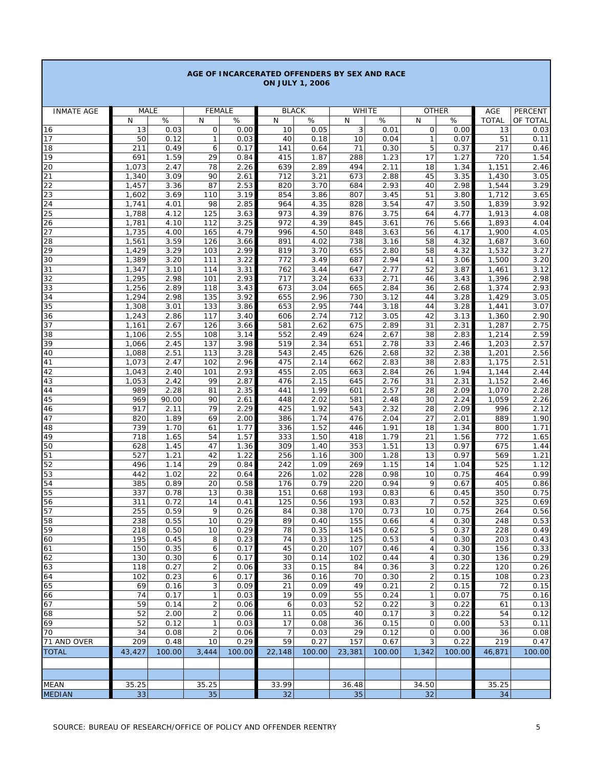|                   |                    |              |                      |              |                      | <b>ON JULY 1, 2006</b> |              |              |                                |              |                    |              |
|-------------------|--------------------|--------------|----------------------|--------------|----------------------|------------------------|--------------|--------------|--------------------------------|--------------|--------------------|--------------|
|                   |                    |              |                      |              |                      |                        |              |              |                                |              |                    |              |
| <b>INMATE AGE</b> | <b>MALE</b>        |              | <b>FEMALE</b>        |              | <b>BLACK</b>         |                        | <b>WHITE</b> |              |                                | <b>OTHER</b> | AGE                | PERCENT      |
| 16                | N<br>13            | $\%$<br>0.03 | N<br>0               | %<br>0.00    | N<br>10              | $\%$<br>0.05           | N<br>3       | $\%$<br>0.01 | N<br>0                         | $\%$<br>0.00 | <b>TOTAL</b><br>13 | OF TOTAL     |
| 17                | 50                 | 0.12         | $\mathbf{1}$         | 0.03         | 40                   | 0.18                   | 10           | 0.04         | $\mathbf{1}$                   | 0.07         | 51                 | 0.03<br>0.11 |
| 18                | 211                | 0.49         | 6                    | 0.17         | 141                  | 0.64                   | 71           | 0.30         | 5                              | 0.37         | 217                | 0.46         |
| 19                | 691                | 1.59         | 29                   | 0.84         | 415                  | 1.87                   | 288          | 1.23         | 17                             | 1.27         | 720                | 1.54         |
| 20                | 1,073              | 2.47         | 78                   | 2.26         | 639                  | 2.89                   | 494          | 2.11         | 18                             | 1.34         | 1,151              | 2.46         |
| 21<br>22          | 1,340<br>1,457     | 3.09<br>3.36 | 90<br>87             | 2.61<br>2.53 | 712<br>820           | 3.21<br>3.70           | 673<br>684   | 2.88<br>2.93 | 45<br>40                       | 3.35<br>2.98 | 1,430<br>1,544     | 3.05<br>3.29 |
| 23                | 1,602              | 3.69         | 110                  | 3.19         | 854                  | 3.86                   | 807          | 3.45         | 51                             | 3.80         | 1,712              | 3.65         |
| 24                | 1,741              | 4.01         | 98                   | 2.85         | 964                  | 4.35                   | 828          | 3.54         | 47                             | 3.50         | 1,839              | 3.92         |
| 25                | 1,788              | 4.12         | 125                  | 3.63         | 973                  | 4.39                   | 876          | 3.75         | 64                             | 4.77         | 1,913              | 4.08         |
| 26<br>27          | 1,781<br>1,735     | 4.10<br>4.00 | 112<br>165           | 3.25<br>4.79 | 972<br>996           | 4.39<br>4.50           | 845<br>848   | 3.61<br>3.63 | 76<br>56                       | 5.66<br>4.17 | 1,893<br>1,900     | 4.04<br>4.05 |
| 28                | 1,561              | 3.59         | 126                  | 3.66         | 891                  | 4.02                   | 738          | 3.16         | 58                             | 4.32         | 1,687              | 3.60         |
| 29                | 1,429              | 3.29         | 103                  | 2.99         | 819                  | 3.70                   | 655          | 2.80         | 58                             | 4.32         | 1,532              | 3.27         |
| 30                | 1,389              | 3.20         | 111                  | 3.22         | 772                  | 3.49                   | 687          | 2.94         | 41                             | 3.06         | 1,500              | 3.20         |
| 31                | $\overline{1,347}$ | 3.10         | 114                  | 3.31         | 762                  | 3.44                   | 647          | 2.77         | 52                             | 3.87         | 1,461              | 3.12         |
| 32<br>33          | 1,295<br>1,256     | 2.98<br>2.89 | 101<br>118           | 2.93<br>3.43 | 717<br>673           | 3.24<br>3.04           | 633<br>665   | 2.71<br>2.84 | 46<br>36                       | 3.43<br>2.68 | 1,396<br>1,374     | 2.98<br>2.93 |
| 34                | 1,294              | 2.98         | 135                  | 3.92         | 655                  | 2.96                   | 730          | 3.12         | 44                             | 3.28         | 1,429              | 3.05         |
| 35                | 1,308              | 3.01         | 133                  | 3.86         | 653                  | 2.95                   | 744          | 3.18         | 44                             | 3.28         | 1,441              | 3.07         |
| 36                | 1,243              | 2.86         | 117                  | 3.40         | 606                  | 2.74                   | 712          | 3.05         | 42                             | 3.13         | 1,360              | 2.90         |
| 37<br>38          | 1,161<br>1,106     | 2.67<br>2.55 | 126<br>108           | 3.66<br>3.14 | 581<br>552           | 2.62<br>2.49           | 675<br>624   | 2.89<br>2.67 | 31<br>38                       | 2.31<br>2.83 | 1,287<br>1,214     | 2.75<br>2.59 |
| 39                | 1,066              | 2.45         | 137                  | 3.98         | 519                  | 2.34                   | 651          | 2.78         | 33                             | 2.46         | 1,203              | 2.57         |
| 40                | 1,088              | 2.51         | 113                  | 3.28         | 543                  | 2.45                   | 626          | 2.68         | 32                             | 2.38         | 1,201              | 2.56         |
| 41                | 1,073              | 2.47         | 102                  | 2.96         | 475                  | 2.14                   | 662          | 2.83         | 38                             | 2.83         | 1,175              | 2.51         |
| 42                | 1,043              | 2.40         | 101                  | 2.93         | 455                  | 2.05                   | 663          | 2.84         | 26                             | 1.94         | 1,144              | 2.44         |
| 43<br>44          | 1,053<br>989       | 2.42<br>2.28 | 99<br>81             | 2.87<br>2.35 | 476<br>441           | 2.15<br>1.99           | 645<br>601   | 2.76<br>2.57 | 31<br>28                       | 2.31<br>2.09 | 1,152<br>1,070     | 2.46<br>2.28 |
| 45                | 969                | 90.00        | 90                   | 2.61         | 448                  | 2.02                   | 581          | 2.48         | 30                             | 2.24         | 1,059              | 2.26         |
| 46                | 917                | 2.11         | 79                   | 2.29         | 425                  | 1.92                   | 543          | 2.32         | 28                             | 2.09         | 996                | 2.12         |
| 47                | 820                | 1.89         | 69                   | 2.00         | 386                  | 1.74                   | 476          | 2.04         | 27                             | 2.01         | 889                | 1.90         |
| 48<br>49          | 739<br>718         | 1.70<br>1.65 | 61<br>54             | 1.77<br>1.57 | 336<br>333           | 1.52<br>1.50           | 446<br>418   | 1.91<br>1.79 | 18<br>21                       | 1.34<br>1.56 | 800<br>772         | 1.71<br>1.65 |
| 50                | 628                | 1.45         | 47                   | 1.36         | 309                  | 1.40                   | 353          | 1.51         | 13                             | 0.97         | 675                | 1.44         |
| 51                | 527                | 1.21         | 42                   | 1.22         | 256                  | 1.16                   | 300          | 1.28         | 13                             | 0.97         | 569                | 1.21         |
| 52                | 496                | 1.14         | 29                   | 0.84         | 242                  | 1.09                   | 269          | 1.15         | 14                             | 1.04         | 525                | 1.12         |
| 53                | 442                | 1.02         | 22                   | 0.64         | 226                  | 1.02                   | 228          | 0.98         | 10                             | 0.75         | 464                | 0.99         |
| 54<br>55          | 385<br>337         | 0.89<br>0.78 | 20<br>13             | 0.58<br>0.38 | 176<br>151           | 0.79<br>0.68           | 220<br>193   | 0.94<br>0.83 | 9<br>6                         | 0.67<br>0.45 | 405<br>350         | 0.86<br>0.75 |
| 56                | 311                | 0.72         | 14                   | 0.41         | 125                  | 0.56                   | 193          | 0.83         | $\overline{7}$                 | 0.52         | 325                | 0.69         |
| 57                | 255                | 0.59         | 9                    | 0.26         | 84                   | 0.38                   | 170          | 0.73         | 10                             | 0.75         | 264                | 0.56         |
| 58                | 238                | 0.55         | 10                   | 0.29         | 89                   | 0.40                   | 155          | 0.66         | 4                              | 0.30         | 248                | 0.53         |
| 59<br>60          | 218<br>195         | 0.50<br>0.45 | 10<br>8              | 0.29<br>0.23 | 78<br>74             | 0.35<br>0.33           | 145<br>125   | 0.62<br>0.53 | 5<br>4                         | 0.37<br>0.30 | 228<br>203         | 0.49<br>0.43 |
| 61                | 150                | 0.35         | 6                    | 0.17         | 45                   | 0.20                   | 107          | 0.46         | 4                              | 0.30         | 156                | 0.33         |
| 62                | 130                | 0.30         | 6                    | 0.17         | 30                   | 0.14                   | 102          | 0.44         | 4                              | 0.30         | 136                | 0.29         |
| 63                | 118                | 0.27         | 2                    | 0.06         | 33                   | 0.15                   | 84           | 0.36         | 3                              | 0.22         | 120                | 0.26         |
| 64                | 102                | 0.23         | 6                    | 0.17         | 36                   | 0.16                   | 70           | 0.30         | $\boldsymbol{2}$               | 0.15         | 108                | 0.23         |
| 65<br>66          | 69<br>74           | 0.16<br>0.17 | 3<br>$\mathbf{1}$    | 0.09<br>0.03 | 21<br>19             | 0.09<br>0.09           | 49<br>55     | 0.21<br>0.24 | $\overline{c}$<br>$\mathbf{1}$ | 0.15<br>0.07 | 72<br>75           | 0.15<br>0.16 |
| 67                | 59                 | 0.14         | $\overline{2}$       | 0.06         | 6                    | 0.03                   | 52           | 0.22         | 3                              | 0.22         | 61                 | 0.13         |
| 68                | 52                 | 2.00         | 2                    | 0.06         | 11                   | 0.05                   | 40           | 0.17         | 3                              | 0.22         | 54                 | 0.12         |
| 69                | 52                 | 0.12         | $\mathbf{1}$         | 0.03         | 17                   | 0.08                   | 36           | 0.15         | 0                              | 0.00         | 53                 | 0.11         |
| 70<br>71 AND OVER | 34<br>209          | 0.08<br>0.48 | $\overline{2}$<br>10 | 0.06<br>0.29 | $\overline{7}$<br>59 | 0.03<br>0.27           | 29<br>157    | 0.12<br>0.67 | 0<br>3                         | 0.00<br>0.22 | 36<br>219          | 0.08<br>0.47 |
| <b>TOTAL</b>      | 43,427             | 100.00       | 3,444                | 100.00       | 22,148               | 100.00                 | 23,381       | 100.00       | 1,342                          | 100.00       | 46,871             | 100.00       |
|                   |                    |              |                      |              |                      |                        |              |              |                                |              |                    |              |
|                   |                    |              |                      |              |                      |                        |              |              |                                |              |                    |              |
| MEAN              | 35.25              |              | 35.25                |              | 33.99                |                        | 36.48        |              | 34.50                          |              | 35.25              |              |
| <b>MEDIAN</b>     | 33                 |              | 35                   |              | 32                   |                        | 35           |              | 32                             |              | 34                 |              |

### **AGE OF INCARCERATED OFFENDERS BY SEX AND RACE ON JULY 1, 2006**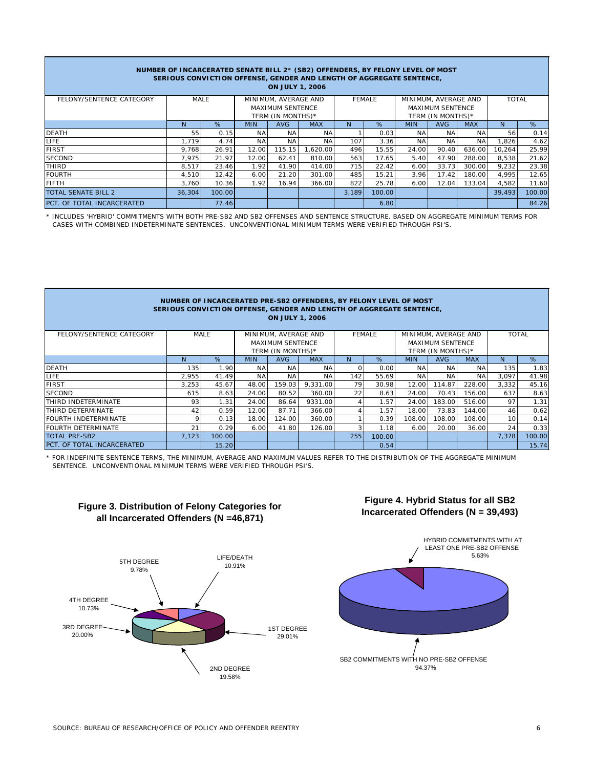| NUMBER OF INCARCERATED SENATE BILL 2* (SB2) OFFENDERS, BY FELONY LEVEL OF MOST<br>SERIOUS CONVICTION OFFENSE, GENDER AND LENGTH OF AGGREGATE SENTENCE,<br><b>ON JULY 1, 2006</b> |              |        |            |                                              |            |       |               |            |                                              |              |        |        |
|----------------------------------------------------------------------------------------------------------------------------------------------------------------------------------|--------------|--------|------------|----------------------------------------------|------------|-------|---------------|------------|----------------------------------------------|--------------|--------|--------|
| FELONY/SENTENCE CATEGORY                                                                                                                                                         | MALE         |        |            | MINIMUM, AVERAGE AND                         |            |       | <b>FEMALE</b> |            | MINIMUM, AVERAGE AND                         | <b>TOTAL</b> |        |        |
|                                                                                                                                                                                  |              |        |            | <b>MAXIMUM SENTENCE</b><br>TERM (IN MONTHS)* |            |       |               |            | <b>MAXIMUM SENTENCE</b><br>TERM (IN MONTHS)* |              |        |        |
|                                                                                                                                                                                  | <sup>N</sup> | %      | <b>MIN</b> | <b>AVG</b>                                   | <b>MAX</b> | N     | %             | <b>MIN</b> | <b>AVG</b>                                   | <b>MAX</b>   | N      | %      |
| <b>DEATH</b>                                                                                                                                                                     | 55           | 0.15   | NA.        | ΝA                                           | NA.        |       | 0.03          | NA.        | NA                                           | NA           | 56     | 0.14   |
| LIFE.                                                                                                                                                                            | 1.719        | 4.74   | <b>NA</b>  | <b>NA</b>                                    | NA         | 107   | 3.36          | <b>NA</b>  | <b>NA</b>                                    | <b>NA</b>    | 1,826  | 4.62   |
| <b>FIRST</b>                                                                                                                                                                     | 9.768        | 26.91  | 12.00      | 115.15                                       | 1.620.00   | 496   | 15.55         | 24.00      | 90.40                                        | 636.00       | 10,264 | 25.99  |
| <b>SECOND</b>                                                                                                                                                                    | 7.975        | 21.97  | 12.00      | 62.41                                        | 810.00     | 563   | 17.65         | 5.40       | 47.90                                        | 288.00       | 8,538  | 21.62  |
| THIRD                                                                                                                                                                            | 8,517        | 23.46  | 1.92       | 41.90                                        | 414.00     | 715   | 22.42         | 6.00       | 33.73                                        | 300.00       | 9,232  | 23.38  |
| <b>FOURTH</b>                                                                                                                                                                    | 4,510        | 12.42  | 6.00       | 21.20                                        | 301.00     | 485   | 15.21         | 3.96       | 17.42                                        | 180.00       | 4.995  | 12.65  |
| <b>FIFTH</b>                                                                                                                                                                     | 3.760        | 10.36  | 1.92       | 16.94                                        | 366.00     | 822   | 25.78         | 6.00       | 12.04                                        | 133.04       | 4,582  | 11.60  |
| TOTAL SENATE BILL 2                                                                                                                                                              | 36.304       | 100.00 |            |                                              |            | 3.189 | 100.00        |            |                                              |              | 39,493 | 100.00 |
| PCT. OF TOTAL INCARCERATED                                                                                                                                                       |              | 77.46  |            |                                              |            |       | 6.80          |            |                                              |              |        | 84.26  |

\* INCLUDES 'HYBRID' COMMITMENTS WITH BOTH PRE-SB2 AND SB2 OFFENSES AND SENTENCE STRUCTURE. BASED ON AGGREGATE MINIMUM TERMS FOR CASES WITH COMBINED INDETERMINATE SENTENCES. UNCONVENTIONAL MINIMUM TERMS WERE VERIFIED THROUGH PSI'S.

| NUMBER OF INCARCERATED PRE-SB2 OFFENDERS, BY FELONY LEVEL OF MOST<br>SERIOUS CONVICTION OFFENSE, GENDER AND LENGTH OF AGGREGATE SENTENCE,<br><b>ON JULY 1, 2006</b> |       |        |            |                         |            |               |        |            |                         |            |       |              |
|---------------------------------------------------------------------------------------------------------------------------------------------------------------------|-------|--------|------------|-------------------------|------------|---------------|--------|------------|-------------------------|------------|-------|--------------|
| FELONY/SENTENCE CATEGORY                                                                                                                                            |       | MALE   |            | MINIMUM, AVERAGE AND    |            | <b>FEMALE</b> |        |            | MINIMUM, AVERAGE AND    |            |       | <b>TOTAL</b> |
|                                                                                                                                                                     |       |        |            | <b>MAXIMUM SENTENCE</b> |            |               |        |            | <b>MAXIMUM SENTENCE</b> |            |       |              |
|                                                                                                                                                                     |       |        |            | TERM (IN MONTHS)*       |            |               |        |            | TERM (IN MONTHS)*       |            |       |              |
|                                                                                                                                                                     | N     | %      | <b>MIN</b> | AVG                     | <b>MAX</b> | N             | %      | <b>MIN</b> | <b>AVG</b>              | <b>MAX</b> | N     | %            |
| <b>DEATH</b>                                                                                                                                                        | 135   | 1.90   | <b>NA</b>  | <b>NA</b>               | <b>NA</b>  | $\Omega$      | 0.00   | <b>NA</b>  | <b>NA</b>               | <b>NA</b>  | 135   | 1.83         |
| LIFE.                                                                                                                                                               | 2.955 | 41.49  | <b>NA</b>  | <b>NA</b>               | <b>NA</b>  | 142           | 55.69  | <b>NA</b>  | <b>NA</b>               | <b>NA</b>  | 3,097 | 41.98        |
| <b>FIRST</b>                                                                                                                                                        | 3.253 | 45.67  | 48.00      | 159.03                  | 9.331.00   | 79            | 30.98  | 12.00      | 114.87                  | 228.00     | 3.332 | 45.16        |
| <b>SECOND</b>                                                                                                                                                       | 615   | 8.63   | 24.00      | 80.52                   | 360.00     | 22            | 8.63   | 24.00      | 70.43                   | 156.00     | 637   | 8.63         |
| <b>ITHIRD INDETERMINATE</b>                                                                                                                                         | 93    | 1.31   | 24.00      | 86.64                   | 9331.00    |               | 1.57   | 24.00      | 183.00                  | 516.00     | 97    | 1.31         |
| THIRD DETERMINATE                                                                                                                                                   | 42    | 0.59   | 12.00      | 87.71                   | 366.00     |               | 1.57   | 18.00      | 73.83                   | 144.00     | 46    | 0.62         |
| <b>FOURTH INDETERMINATE</b>                                                                                                                                         | 9     | 0.13   | 18.00      | 124.00                  | 360.00     |               | 0.39   | 108.00     | 108.00                  | 108.00     | 10    | 0.14         |
| <b>FOURTH DETERMINATE</b>                                                                                                                                           | 21    | 0.29   | 6.00       | 41.80                   | 126.00     |               | 1.18   | 6.00       | 20.00                   | 36.00      | 24    | 0.33         |
| <b>TOTAL PRE-SB2</b>                                                                                                                                                | 7,123 | 100.00 |            |                         |            | 255           | 100.00 |            |                         |            | 7,378 | 100.00       |
| PCT. OF TOTAL INCARCERATED                                                                                                                                          |       | 15.20  |            |                         |            |               | 0.54   |            |                         |            |       | 15.74        |

\* FOR INDEFINITE SENTENCE TERMS, THE MINIMUM, AVERAGE AND MAXIMUM VALUES REFER TO THE DISTRIBUTION OF THE AGGREGATE MINIMUM SENTENCE. UNCONVENTIONAL MINIMUM TERMS WERE VERIFIED THROUGH PSI'S.



# **Figure 3. Distribution of Felony Categories for all Incarcerated Offenders (N =46,871)**

# **Figure 4. Hybrid Status for all SB2 Incarcerated Offenders (N = 39,493)**

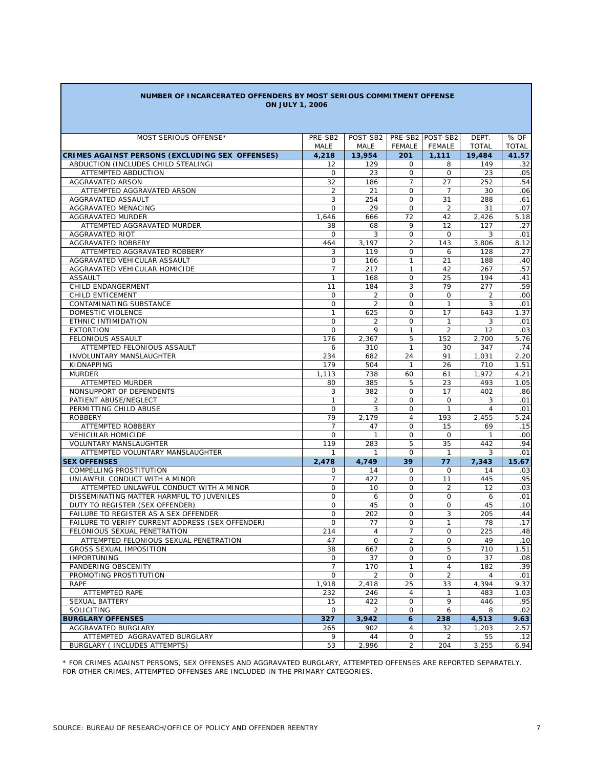| NUMBER OF INCARCERATED OFFENDERS BY MOST SERIOUS COMMITMENT OFFENSE |  |
|---------------------------------------------------------------------|--|
| <b>ON JULY 1, 2006</b>                                              |  |

| MOST SERIOUS OFFENSE*                            | PRE-SB2        | POST-SB2       |                | PRE-SB2 POST-SB2 | DEPT.          | % OF         |
|--------------------------------------------------|----------------|----------------|----------------|------------------|----------------|--------------|
|                                                  | MALE           | MALE           | FEMALE         | FEMALE           | <b>TOTAL</b>   | <b>TOTAL</b> |
| CRIMES AGAINST PERSONS (EXCLUDING SEX OFFENSES)  | 4,218          | 13,954         | 201            | 1,111            | 19,484         | 41.57        |
| ABDUCTION (INCLUDES CHILD STEALING)              | 12             | 129            | 0              | 8                | 149            | .32          |
| ATTEMPTED ABDUCTION                              | 0              | 23             | 0              | $\mathbf 0$      | 23             | .05          |
| <b>AGGRAVATED ARSON</b>                          | 32             | 186            | $\overline{7}$ | 27               | 252            | .54          |
| ATTEMPTED AGGRAVATED ARSON                       | 2              | 21             | $\Omega$       | $\overline{7}$   | 30             | .06          |
| AGGRAVATED ASSAULT                               | 3              | 254            | $\Omega$       | 31               | 288            | .61          |
| AGGRAVATED MENACING                              | $\mathbf{O}$   | 29             | $\mathbf 0$    | $\overline{2}$   | 31             | .07          |
| AGGRAVATED MURDER                                | 1,646          | 666            | 72             | 42               | 2,426          | 5.18         |
| ATTEMPTED AGGRAVATED MURDER                      | 38             | 68             | 9              | 12               | 127            | .27          |
| AGGRAVATED RIOT                                  | $\mathbf{O}$   | 3              | $\circ$        | $\mathbf 0$      | 3              | .01          |
| AGGRAVATED ROBBERY                               | 464            | 3,197          | 2              | 143              | 3,806          | 8.12         |
| ATTEMPTED AGGRAVATED ROBBERY                     | 3              | 119            | 0              | 6                | 128            | .27          |
| AGGRAVATED VEHICULAR ASSAULT                     | 0              | 166            | $\mathbf{1}$   | 21               | 188            | .40          |
| AGGRAVATED VEHICULAR HOMICIDE                    | $\overline{7}$ | 217            | $\mathbf{1}$   | 42               | 267            | .57          |
| <b>ASSAULT</b>                                   | $\mathbf{1}$   | 168            | $\circ$        | 25               | 194            | .41          |
| CHILD ENDANGERMENT                               | 11             | 184            | 3              | 79               | 277            | .59          |
| <b>CHILD ENTICEMENT</b>                          | 0              | 2              | $\Omega$       | $\Omega$         | 2              | .00          |
| CONTAMINATING SUBSTANCE                          | $\mathbf{O}$   | 2              | $\mathbf 0$    | $\mathbf{1}$     | 3              | .01          |
| DOMESTIC VIOLENCE                                | $\mathbf{1}$   | 625            | $\mathbf 0$    | 17               | 643            | 1.37         |
| ETHNIC INTIMIDATION                              | $\mathbf{O}$   | 2              | $\circ$        | $\mathbf{1}$     | 3              | .01          |
| <b>EXTORTION</b>                                 | $\mathbf{O}$   | 9              | $\mathbf{1}$   | $\overline{2}$   | 12             | .03          |
| <b>FELONIOUS ASSAULT</b>                         | 176            | 2,367          | 5              | 152              | 2,700          | 5.76         |
| ATTEMPTED FELONIOUS ASSAULT                      | 6              | 310            | $\mathbf{1}$   | 30               | 347            | .74          |
| <b>INVOLUNTARY MANSLAUGHTER</b>                  | 234            | 682            | 24             | 91               | 1,031          | 2.20         |
| KIDNAPPING                                       | 179            | 504            | $\mathbf{1}$   | 26               | 710            | 1.51         |
| <b>MURDER</b>                                    | 1,113          | 738            | 60             | 61               | 1,972          | 4.21         |
| <b>ATTEMPTED MURDER</b>                          | 80             | 385            | 5              | 23               | 493            | 1.05         |
| NONSUPPORT OF DEPENDENTS                         | 3              | 382            | $\circ$        | 17               | 402            | .86          |
| PATIENT ABUSE/NEGLECT                            | $\mathbf{1}$   | 2              | $\mathbf 0$    | $\circ$          | 3              | .01          |
| PERMITTING CHILD ABUSE                           | $\mathbf{O}$   | 3              | $\circ$        | $\mathbf{1}$     | $\overline{4}$ | .01          |
| <b>ROBBERY</b>                                   | 79             | 2,179          | $\overline{4}$ | 193              | 2,455          | 5.24         |
| ATTEMPTED ROBBERY                                | $\overline{7}$ | 47             | 0              | 15               | 69             | .15          |
| <b>VEHICULAR HOMICIDE</b>                        | 0              | $\mathbf{1}$   | $\mathbf 0$    | $\mathbf 0$      | $\mathbf{1}$   | .00          |
| <b>VOLUNTARY MANSLAUGHTER</b>                    | 119            | 283            | 5              | 35               | 442            | .94          |
| ATTEMPTED VOLUNTARY MANSLAUGHTER                 | $\mathbf{1}$   | $\mathbf{1}$   | $\Omega$       | $\mathbf{1}$     | 3              | .01          |
| <b>SEX OFFENSES</b>                              | 2,478          | 4,749          | 39             | 77               | 7,343          | 15.67        |
| COMPELLING PROSTITUTION                          | 0              | 14             | $\Omega$       | $\Omega$         | 14             | .03          |
| UNLAWFUL CONDUCT WITH A MINOR                    | $\overline{7}$ | 427            | $\Omega$       | 11               | 445            | .95          |
| ATTEMPTED UNLAWFUL CONDUCT WITH A MINOR          | 0              | 10             | $\Omega$       | $\overline{2}$   | 12             | .03          |
| DISSEMINATING MATTER HARMFUL TO JUVENILES        | 0              | 6              | $\Omega$       | $\Omega$         | 6              | .01          |
| DUTY TO REGISTER (SEX OFFENDER)                  | 0              | 45             | $\Omega$       | 0                | 45             | .10          |
| FAILURE TO REGISTER AS A SEX OFFENDER            | $\overline{O}$ | 202            | $\Omega$       | 3                | 205            | .44          |
| FAILURE TO VERIFY CURRENT ADDRESS (SEX OFFENDER) | 0              | 77             | $\mathbf 0$    | $\mathbf{1}$     | 78             | .17          |
| FELONIOUS SEXUAL PENETRATION                     | 214            | 4              | 7              | 0                | 225            | .48          |
| ATTEMPTED FELONIOUS SEXUAL PENETRATION           | 47             | $\mathbf 0$    | $\overline{2}$ | 0                | 49             | .10          |
| <b>GROSS SEXUAL IMPOSITION</b>                   | 38             | 667            | $\mathsf{O}$   | 5                | 710            | 1.51         |
| <b>IMPORTUNING</b>                               | 0              | 37             | $\mathsf{O}$   | 0                | 37             | .08          |
| PANDERING OBSCENITY                              | 7              | 170            | 1              | 4                | 182            | .39          |
| PROMOTING PROSTITUTION                           | 0              | $\overline{2}$ | $\Omega$       | $\overline{2}$   | 4              | .01          |
| <b>RAPE</b>                                      | 1,918          | 2,418          | 25             | 33               | 4,394          | 9.37         |
| ATTEMPTED RAPE                                   | 232            | 246            | 4              | 1                | 483            | 1.03         |
| <b>SEXUAL BATTERY</b>                            | 15             | 422            | $\mathbf 0$    | 9                | 446            | .95          |
| SOLICITING                                       | 0              | $\overline{2}$ | 0              | 6                | 8              | .02          |
| <b>BURGLARY OFFENSES</b>                         | 327            | 3,942          | 6              | 238              | 4,513          | 9.63         |
| AGGRAVATED BURGLARY                              | 265            | 902            | 4              | 32               | 1,203          | 2.57         |
| ATTEMPTED AGGRAVATED BURGLARY                    | 9              | 44             | 0              | 2                | 55             | .12          |
| BURGLARY ( INCLUDES ATTEMPTS)                    | 53             | 2,996          | $\overline{2}$ | 204              | 3,255          | 6.94         |

\* FOR CRIMES AGAINST PERSONS, SEX OFFENSES AND AGGRAVATED BURGLARY, ATTEMPTED OFFENSES ARE REPORTED SEPARATELY. FOR OTHER CRIMES, ATTEMPTED OFFENSES ARE INCLUDED IN THE PRIMARY CATEGORIES.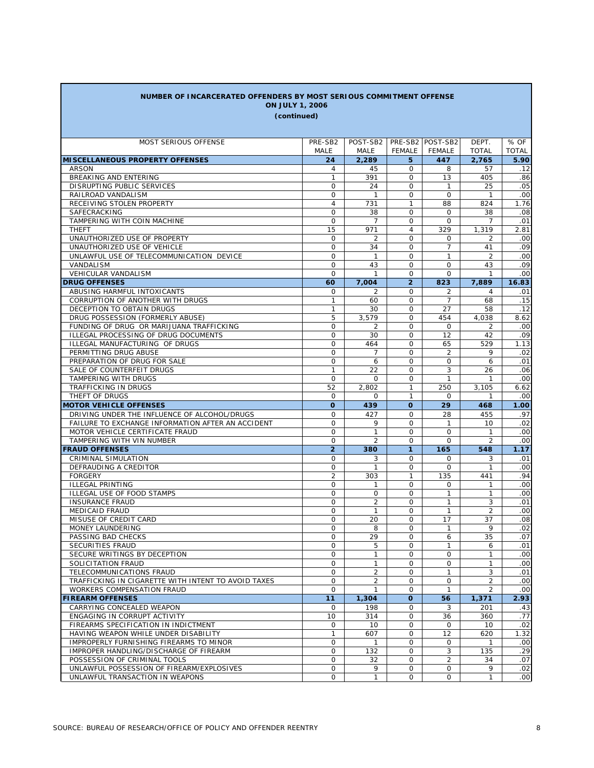| NUMBER OF INCARCERATED OFFENDERS BY MOST SERIOUS COMMITMENT OFFENSE<br><b>ON JULY 1, 2006</b> |                               |                   |                          |                  |                      |                  |  |
|-----------------------------------------------------------------------------------------------|-------------------------------|-------------------|--------------------------|------------------|----------------------|------------------|--|
| (continued)                                                                                   |                               |                   |                          |                  |                      |                  |  |
|                                                                                               |                               |                   |                          |                  |                      |                  |  |
| MOST SERIOUS OFFENSE                                                                          | PRE-SB2                       | POST-SB2          |                          | PRE-SB2 POST-SB2 | DEPT.                | % OF             |  |
|                                                                                               | MALE                          | MALE              | FEMALE                   | FEMALE           | <b>TOTAL</b>         | <b>TOTAL</b>     |  |
| <b>MISCELLANEOUS PROPERTY OFFENSES</b>                                                        | 24                            | 2,289             | 5                        | 447              | 2.765                | 5.90             |  |
| <b>ARSON</b>                                                                                  | 4                             | 45                | 0                        | 8                | 57                   | .12              |  |
| BREAKING AND ENTERING                                                                         | $\mathbf{1}$                  | 391               | 0                        | 13               | 405                  | .86              |  |
| DISRUPTING PUBLIC SERVICES                                                                    | 0                             | 24                | 0                        | $\mathbf{1}$     | 25                   | .05              |  |
| RAILROAD VANDALISM                                                                            | 0                             | $\mathbf{1}$      | $\Omega$                 | $\Omega$         | $\mathbf{1}$         | .00              |  |
| RECEIVING STOLEN PROPERTY                                                                     | $\overline{4}$<br>$\mathbf 0$ | 731<br>38         | $\mathbf{1}$<br>$\Omega$ | 88<br>$\Omega$   | 824                  | 1.76             |  |
| SAFECRACKING<br>TAMPERING WITH COIN MACHINE                                                   | $\mathbf 0$                   | $\overline{7}$    | $\Omega$                 | $\Omega$         | 38<br>$\overline{7}$ | .08<br>.01       |  |
| <b>THEFT</b>                                                                                  | 15                            | 971               | $\overline{4}$           | 329              | 1,319                | 2.81             |  |
| UNAUTHORIZED USE OF PROPERTY                                                                  | 0                             | $\overline{2}$    | $\Omega$                 | $\Omega$         | 2                    | .00              |  |
| UNAUTHORIZED USE OF VEHICLE                                                                   | 0                             | 34                | 0                        | $\overline{7}$   | 41                   | .09              |  |
| UNLAWFUL USE OF TELECOMMUNICATION DEVICE                                                      | 0                             | $\mathbf{1}$      | 0                        | $\mathbf{1}$     | $\overline{2}$       | .00              |  |
| VANDALISM                                                                                     | 0                             | 43                | 0                        | $\mathbf 0$      | 43                   | .09              |  |
| <b>VEHICULAR VANDALISM</b>                                                                    | 0                             | $\mathbf{1}$      | 0                        | $\Omega$         | $\mathbf{1}$         | .00              |  |
| <b>DRUG OFFENSES</b>                                                                          | 60                            | 7,004             | $\overline{2}$           | 823              | 7,889                | 16.83            |  |
| ABUSING HARMFUL INTOXICANTS                                                                   | 0                             | 2                 | 0                        | 2                | 4                    | .01              |  |
| CORRUPTION OF ANOTHER WITH DRUGS                                                              | $\mathbf{1}$                  | 60                | 0                        | 7                | 68                   | .15              |  |
| DECEPTION TO OBTAIN DRUGS                                                                     | 1                             | 30                | 0                        | 27               | 58                   | .12              |  |
| DRUG POSSESSION (FORMERLY ABUSE)                                                              | 5                             | 3.579             | $\Omega$                 | 454              | 4,038                | 8.62             |  |
| FUNDING OF DRUG OR MARIJUANA TRAFFICKING                                                      | 0                             | 2                 | 0<br>$\Omega$            | 0                | 2                    | .00              |  |
| ILLEGAL PROCESSING OF DRUG DOCUMENTS<br>ILLEGAL MANUFACTURING OF DRUGS                        | 0<br>0                        | 30<br>464         | $\mathbf 0$              | 12<br>65         | 42<br>529            | .09<br>1.13      |  |
| PERMITTING DRUG ABUSE                                                                         | $\mathbf 0$                   | 7                 | $\Omega$                 | $\overline{2}$   | 9                    | .02              |  |
| PREPARATION OF DRUG FOR SALE                                                                  | 0                             | 6                 | $\mathbf 0$              | 0                | 6                    | .01              |  |
| SALE OF COUNTERFEIT DRUGS                                                                     | 1                             | 22                | 0                        | 3                | 26                   | .06              |  |
| TAMPERING WITH DRUGS                                                                          | 0                             | 0                 | 0                        | $\mathbf{1}$     | 1                    | .00              |  |
| TRAFFICKING IN DRUGS                                                                          | 52                            | 2,802             | 1                        | 250              | 3,105                | 6.62             |  |
| THEFT OF DRUGS                                                                                | 0                             | 0                 | 1                        | 0                | 1                    | .00              |  |
| <b>MOTOR VEHICLE OFFENSES</b>                                                                 | O                             | 439               | O                        | 29               | 468                  | 1.00             |  |
| DRIVING UNDER THE INFLUENCE OF ALCOHOL/DRUGS                                                  | 0                             | 427               | 0                        | 28               | 455                  | .97              |  |
| FAILURE TO EXCHANGE INFORMATION AFTER AN ACCIDENT                                             | 0                             | 9                 | 0                        | $\mathbf{1}$     | 10                   | .02              |  |
| MOTOR VEHICLE CERTIFICATE FRAUD                                                               | 0                             | 1                 | 0                        | 0                | 1                    | .00              |  |
| TAMPERING WITH VIN NUMBER                                                                     | 0                             | 2                 | 0                        | $\mathbf 0$      | $\overline{2}$       | .00              |  |
| <b>FRAUD OFFENSES</b>                                                                         | $\overline{2}$<br>0           | 380<br>3          | $\mathbf{1}$<br>$\Omega$ | 165<br>0         | 548                  | 1.17<br>.01      |  |
| CRIMINAL SIMULATION<br>DEFRAUDING A CREDITOR                                                  | 0                             | 1                 | $\mathbf 0$              | 0                | 3<br>1               | .00              |  |
| <b>FORGERY</b>                                                                                | $\overline{2}$                | 303               | $\mathbf{1}$             | 135              | 441                  | .94              |  |
| <b>ILLEGAL PRINTING</b>                                                                       | 0                             | 1                 | 0                        | 0                | 1                    | .00              |  |
| ILLEGAL USE OF FOOD STAMPS                                                                    | 0                             | $\mathbf 0$       | 0                        | $\mathbf{1}$     | $\mathbf{1}$         | .00              |  |
| <b>INSURANCE FRAUD</b>                                                                        | 0                             | 2                 | 0                        | $\mathbf{1}$     | 3                    | .01              |  |
| <b>MEDICAID FRAUD</b>                                                                         | $\mathsf{O}$                  | $\mathbf{1}$      | $\Omega$                 | $\mathbf{1}$     | $\overline{2}$       | .00              |  |
| MISUSE OF CREDIT CARD                                                                         | $\mathsf{O}$                  | 20                | $\mathbf 0$              | 17               | 37                   | .08              |  |
| MONEY LAUNDERING                                                                              | 0                             | 8                 | 0                        | $\mathbf{1}$     | 9                    | .02              |  |
| PASSING BAD CHECKS                                                                            | 0                             | 29                | 0                        | 6                | 35                   | .07              |  |
| SECURITIES FRAUD                                                                              | 0                             | 5                 | 0                        | $\mathbf{1}$     | 6                    | .01              |  |
| SECURE WRITINGS BY DECEPTION<br>SOLICITATION FRAUD                                            | 0<br>0                        | 1<br>$\mathbf{1}$ | 0<br>$\mathbf 0$         | 0<br>$\mathbf 0$ | 1<br>$\mathbf{1}$    | .00<br>.00       |  |
| TELECOMMUNICATIONS FRAUD                                                                      | 0                             | $\overline{a}$    | 0                        | $\mathbf{1}$     | 3                    | .01              |  |
| TRAFFICKING IN CIGARETTE WITH INTENT TO AVOID TAXES                                           | 0                             | $\overline{2}$    | $\mathsf{O}$             | $\mathbf 0$      | $\overline{2}$       | .00              |  |
| WORKERS COMPENSATION FRAUD                                                                    | 0                             | 1                 | 0                        | $\mathbf{1}$     | 2                    | .00              |  |
| <b>FIREARM OFFENSES</b>                                                                       | 11                            | 1,304             | $\mathbf{o}$             | 56               | 1,371                | 2.93             |  |
| CARRYING CONCEALED WEAPON                                                                     | 0                             | 198               | 0                        | 3                | 201                  | .43              |  |
| ENGAGING IN CORRUPT ACTIVITY                                                                  | 10                            | 314               | 0                        | 36               | 360                  | .77              |  |
| FIREARMS SPECIFICATION IN INDICTMENT                                                          | 0                             | 10                | 0                        | 0                | 10                   | .02              |  |
| HAVING WEAPON WHILE UNDER DISABILITY                                                          | $\mathbf{1}$                  | 607               | $\mathbf 0$              | 12               | 620                  | 1.32             |  |
| IMPROPERLY FURNISHING FIREARMS TO MINOR                                                       | 0                             | $\mathbf{1}$      | 0                        | 0                | $\mathbf{1}$         | .00              |  |
| IMPROPER HANDLING/DISCHARGE OF FIREARM                                                        | 0                             | 132               | $\mathbf 0$              | 3                | 135                  | .29              |  |
| POSSESSION OF CRIMINAL TOOLS                                                                  | 0                             | 32                | 0                        | 2                | 34                   | .07              |  |
| UNLAWFUL POSSESSION OF FIREARM/EXPLOSIVES                                                     | 0                             | 9                 | 0                        | 0                | 9                    | .02              |  |
| UNLAWFUL TRANSACTION IN WEAPONS                                                               | 0                             | 1                 | 0                        | 0                | $\mathbf{1}$         | .00 <sub>1</sub> |  |

Г